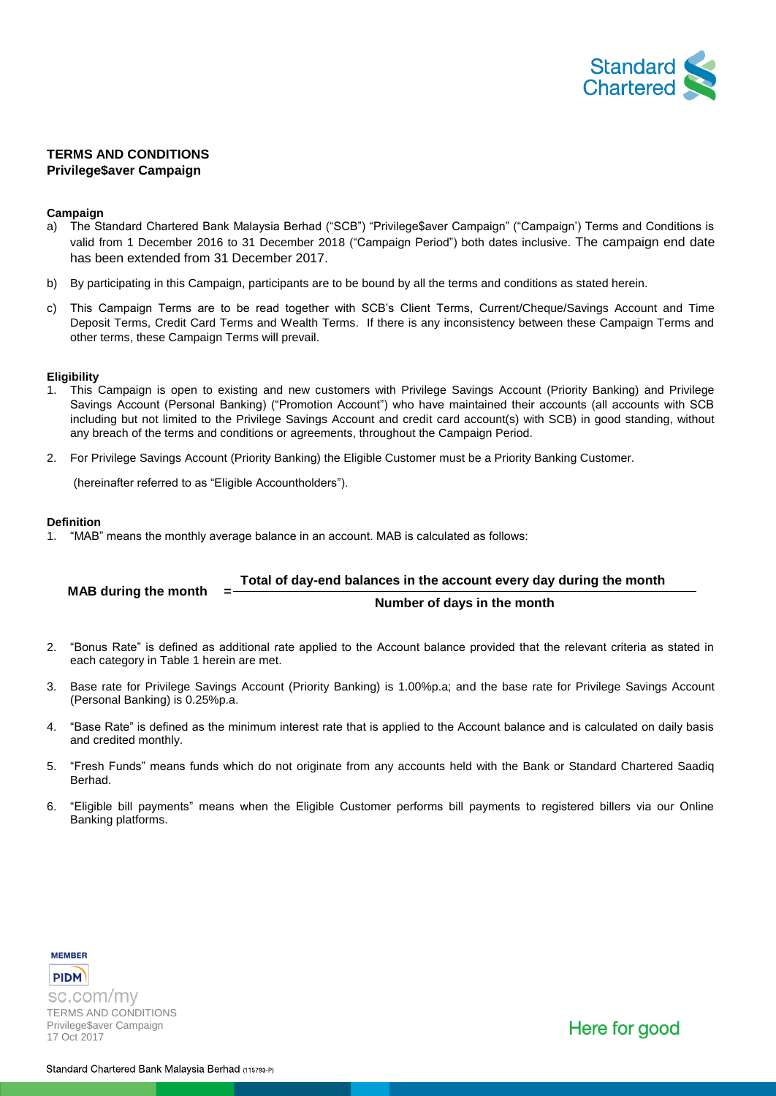

# **TERMS AND CONDITIONS Privilege\$aver Campaign**

## **Campaign**

- a) The Standard Chartered Bank Malaysia Berhad ("SCB") "Privilege\$aver Campaign" ("Campaign') Terms and Conditions is valid from 1 December 2016 to 31 December 2018 ("Campaign Period") both dates inclusive. The campaign end date has been extended from 31 December 2017.
- b) By participating in this Campaign, participants are to be bound by all the terms and conditions as stated herein.
- c) This Campaign Terms are to be read together with SCB's Client Terms, Current/Cheque/Savings Account and Time Deposit Terms, Credit Card Terms and Wealth Terms. If there is any inconsistency between these Campaign Terms and other terms, these Campaign Terms will prevail.

## **Eligibility**

- 1. This Campaign is open to existing and new customers with Privilege Savings Account (Priority Banking) and Privilege Savings Account (Personal Banking) ("Promotion Account") who have maintained their accounts (all accounts with SCB including but not limited to the Privilege Savings Account and credit card account(s) with SCB) in good standing, without any breach of the terms and conditions or agreements, throughout the Campaign Period.
- 2. For Privilege Savings Account (Priority Banking) the Eligible Customer must be a Priority Banking Customer.

(hereinafter referred to as "Eligible Accountholders").

## **Definition**

1. "MAB" means the monthly average balance in an account. MAB is calculated as follows:

#### **MAB during the month Total of day-end balances in the account every day during the month Number of days in the month**

- 2. "Bonus Rate" is defined as additional rate applied to the Account balance provided that the relevant criteria as stated in each category in Table 1 herein are met.
- 3. Base rate for Privilege Savings Account (Priority Banking) is 1.00%p.a; and the base rate for Privilege Savings Account (Personal Banking) is 0.25%p.a.
- 4. "Base Rate" is defined as the minimum interest rate that is applied to the Account balance and is calculated on daily basis and credited monthly.
- 5. "Fresh Funds" means funds which do not originate from any accounts held with the Bank or Standard Chartered Saadiq **Berhad**
- 6. "Eligible bill payments" means when the Eligible Customer performs bill payments to registered billers via our Online Banking platforms.

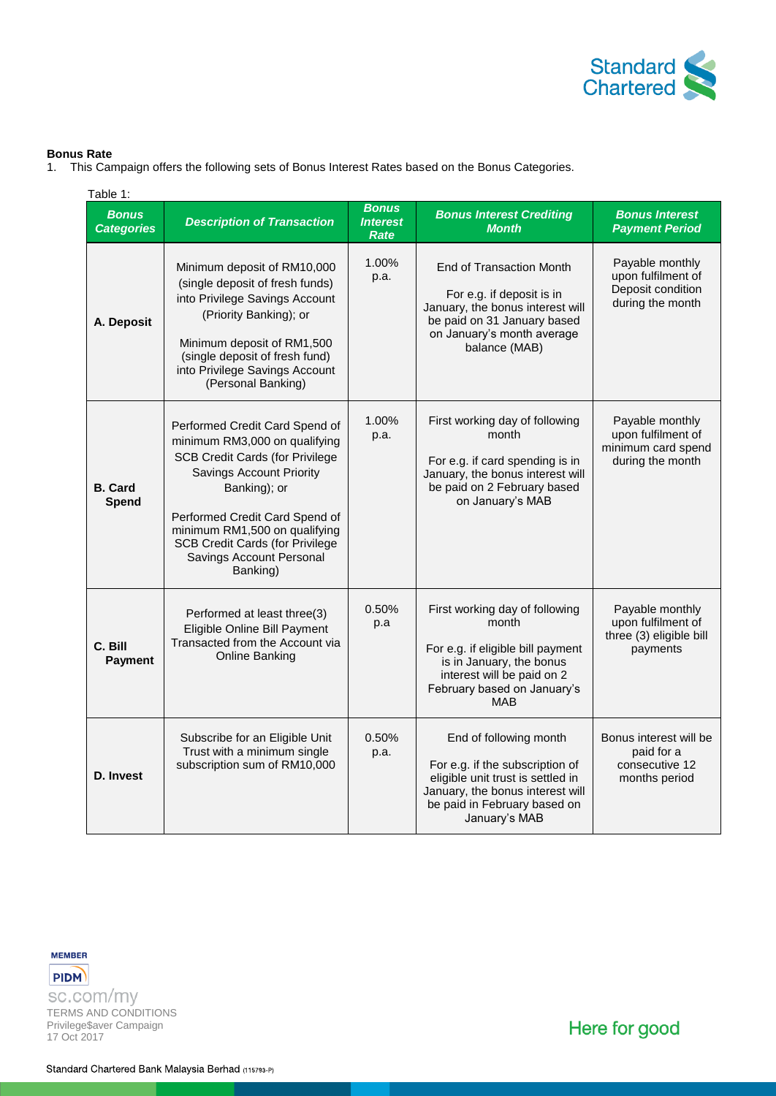

## **Bonus Rate**

1. This Campaign offers the following sets of Bonus Interest Rates based on the Bonus Categories.

| Table 1:                          |                                                                                                                                                                                                                                                                                                                   |                                         |                                                                                                                                                                                     |                                                                                 |
|-----------------------------------|-------------------------------------------------------------------------------------------------------------------------------------------------------------------------------------------------------------------------------------------------------------------------------------------------------------------|-----------------------------------------|-------------------------------------------------------------------------------------------------------------------------------------------------------------------------------------|---------------------------------------------------------------------------------|
| <b>Bonus</b><br><b>Categories</b> | <b>Description of Transaction</b>                                                                                                                                                                                                                                                                                 | <b>Bonus</b><br><b>Interest</b><br>Rate | <b>Bonus Interest Crediting</b><br><b>Month</b>                                                                                                                                     | <b>Bonus Interest</b><br><b>Payment Period</b>                                  |
| A. Deposit                        | Minimum deposit of RM10,000<br>(single deposit of fresh funds)<br>into Privilege Savings Account<br>(Priority Banking); or<br>Minimum deposit of RM1,500<br>(single deposit of fresh fund)<br>into Privilege Savings Account<br>(Personal Banking)                                                                | 1.00%<br>p.a.                           | End of Transaction Month<br>For e.g. if deposit is in<br>January, the bonus interest will<br>be paid on 31 January based<br>on January's month average<br>balance (MAB)             | Payable monthly<br>upon fulfilment of<br>Deposit condition<br>during the month  |
| <b>B.</b> Card<br>Spend           | Performed Credit Card Spend of<br>minimum RM3,000 on qualifying<br><b>SCB Credit Cards (for Privilege</b><br><b>Savings Account Priority</b><br>Banking); or<br>Performed Credit Card Spend of<br>minimum RM1,500 on qualifying<br><b>SCB Credit Cards (for Privilege</b><br>Savings Account Personal<br>Banking) | 1.00%<br>p.a.                           | First working day of following<br>month<br>For e.g. if card spending is in<br>January, the bonus interest will<br>be paid on 2 February based<br>on January's MAB                   | Payable monthly<br>upon fulfilment of<br>minimum card spend<br>during the month |
| C. Bill<br><b>Payment</b>         | Performed at least three(3)<br>Eligible Online Bill Payment<br>Transacted from the Account via<br>Online Banking                                                                                                                                                                                                  | 0.50%<br>p.a                            | First working day of following<br>month<br>For e.g. if eligible bill payment<br>is in January, the bonus<br>interest will be paid on 2<br>February based on January's<br><b>MAB</b> | Payable monthly<br>upon fulfilment of<br>three (3) eligible bill<br>payments    |
| D. Invest                         | Subscribe for an Eligible Unit<br>Trust with a minimum single<br>subscription sum of RM10,000                                                                                                                                                                                                                     | 0.50%<br>p.a.                           | End of following month<br>For e.g. if the subscription of<br>eligible unit trust is settled in<br>January, the bonus interest will<br>be paid in February based on<br>January's MAB | Bonus interest will be<br>paid for a<br>consecutive 12<br>months period         |



**PIDM** sc.com/my TERMS AND CONDITIONS Privilege\$aver Campaign 17 Oct 2017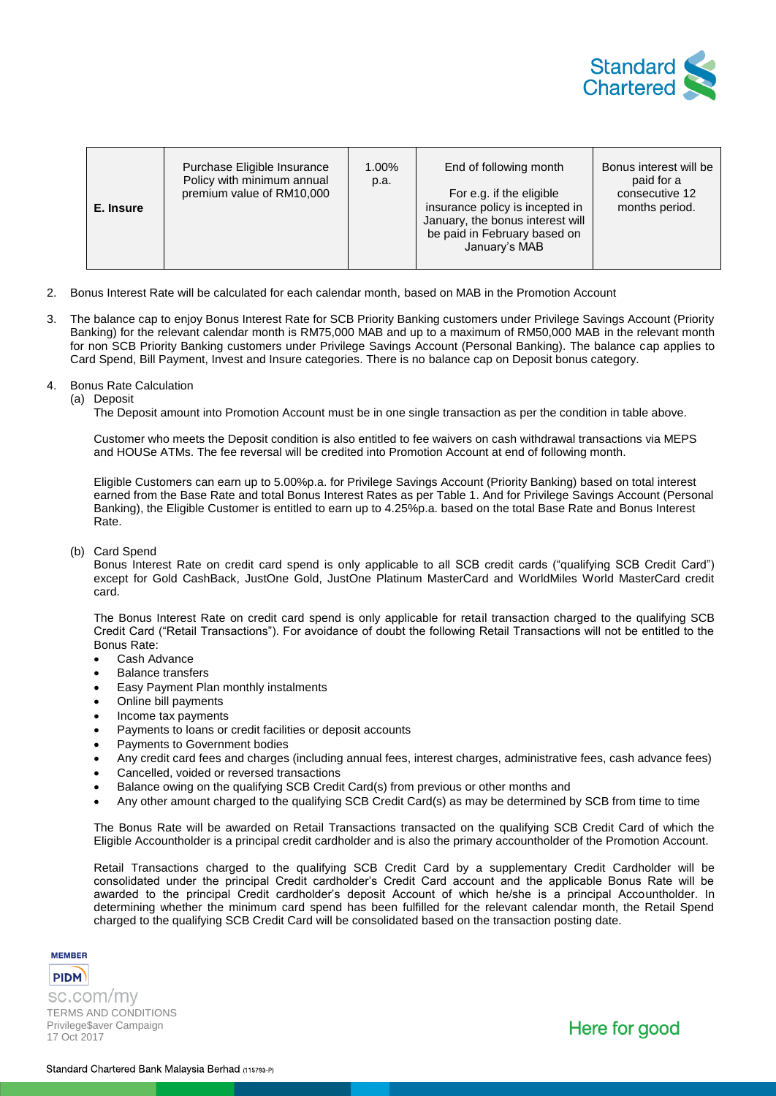

- 2. Bonus Interest Rate will be calculated for each calendar month, based on MAB in the Promotion Account
- 3. The balance cap to enjoy Bonus Interest Rate for SCB Priority Banking customers under Privilege Savings Account (Priority Banking) for the relevant calendar month is RM75,000 MAB and up to a maximum of RM50,000 MAB in the relevant month for non SCB Priority Banking customers under Privilege Savings Account (Personal Banking). The balance cap applies to Card Spend, Bill Payment, Invest and Insure categories. There is no balance cap on Deposit bonus category.

#### 4. Bonus Rate Calculation

(a) Deposit

The Deposit amount into Promotion Account must be in one single transaction as per the condition in table above.

Customer who meets the Deposit condition is also entitled to fee waivers on cash withdrawal transactions via MEPS and HOUSe ATMs. The fee reversal will be credited into Promotion Account at end of following month.

Eligible Customers can earn up to 5.00%p.a. for Privilege Savings Account (Priority Banking) based on total interest earned from the Base Rate and total Bonus Interest Rates as per Table 1. And for Privilege Savings Account (Personal Banking), the Eligible Customer is entitled to earn up to 4.25%p.a. based on the total Base Rate and Bonus Interest Rate.

#### (b) Card Spend

Bonus Interest Rate on credit card spend is only applicable to all SCB credit cards ("qualifying SCB Credit Card") except for Gold CashBack, JustOne Gold, JustOne Platinum MasterCard and WorldMiles World MasterCard credit card.

The Bonus Interest Rate on credit card spend is only applicable for retail transaction charged to the qualifying SCB Credit Card ("Retail Transactions"). For avoidance of doubt the following Retail Transactions will not be entitled to the Bonus Rate:

- Cash Advance
- Balance transfers
- Easy Payment Plan monthly instalments
- Online bill payments
- Income tax payments
- Payments to loans or credit facilities or deposit accounts
- Payments to Government bodies
- Any credit card fees and charges (including annual fees, interest charges, administrative fees, cash advance fees)
- Cancelled, voided or reversed transactions
- Balance owing on the qualifying SCB Credit Card(s) from previous or other months and
- Any other amount charged to the qualifying SCB Credit Card(s) as may be determined by SCB from time to time

The Bonus Rate will be awarded on Retail Transactions transacted on the qualifying SCB Credit Card of which the Eligible Accountholder is a principal credit cardholder and is also the primary accountholder of the Promotion Account.

Retail Transactions charged to the qualifying SCB Credit Card by a supplementary Credit Cardholder will be consolidated under the principal Credit cardholder's Credit Card account and the applicable Bonus Rate will be awarded to the principal Credit cardholder's deposit Account of which he/she is a principal Accountholder. In determining whether the minimum card spend has been fulfilled for the relevant calendar month, the Retail Spend charged to the qualifying SCB Credit Card will be consolidated based on the transaction posting date.

**MEMBER** 

**PIDM** sc.com/my TERMS AND CONDITIONS Privilege\$aver Campaign 17 Oct 2017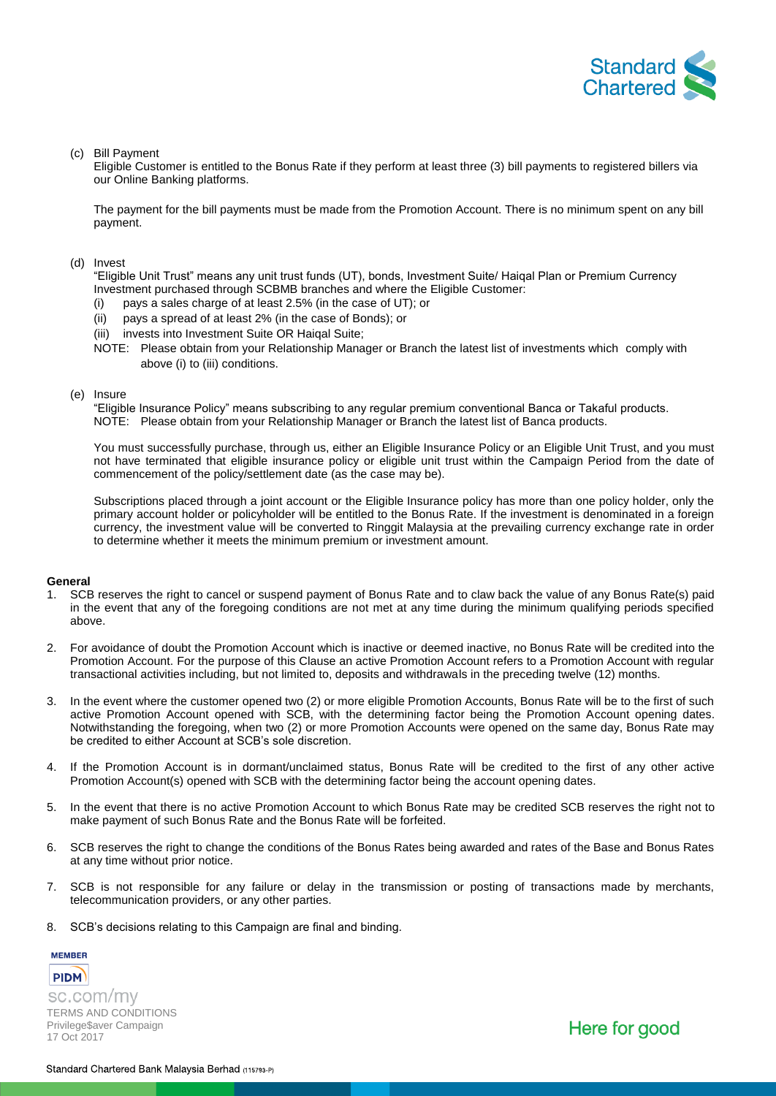

### (c) Bill Payment

Eligible Customer is entitled to the Bonus Rate if they perform at least three (3) bill payments to registered billers via our Online Banking platforms.

The payment for the bill payments must be made from the Promotion Account. There is no minimum spent on any bill payment.

### (d) Invest

"Eligible Unit Trust" means any unit trust funds (UT), bonds, Investment Suite/ Haiqal Plan or Premium Currency Investment purchased through SCBMB branches and where the Eligible Customer:

- (i) pays a sales charge of at least 2.5% (in the case of UT); or
- (ii) pays a spread of at least 2% (in the case of Bonds); or
- (iii) invests into Investment Suite OR Haiqal Suite;
- NOTE: Please obtain from your Relationship Manager or Branch the latest list of investments which comply with above (i) to (iii) conditions.

### (e) Insure

"Eligible Insurance Policy" means subscribing to any regular premium conventional Banca or Takaful products. NOTE: Please obtain from your Relationship Manager or Branch the latest list of Banca products.

You must successfully purchase, through us, either an Eligible Insurance Policy or an Eligible Unit Trust, and you must not have terminated that eligible insurance policy or eligible unit trust within the Campaign Period from the date of commencement of the policy/settlement date (as the case may be).

Subscriptions placed through a joint account or the Eligible Insurance policy has more than one policy holder, only the primary account holder or policyholder will be entitled to the Bonus Rate. If the investment is denominated in a foreign currency, the investment value will be converted to Ringgit Malaysia at the prevailing currency exchange rate in order to determine whether it meets the minimum premium or investment amount.

## **General**

- 1. SCB reserves the right to cancel or suspend payment of Bonus Rate and to claw back the value of any Bonus Rate(s) paid in the event that any of the foregoing conditions are not met at any time during the minimum qualifying periods specified above.
- 2. For avoidance of doubt the Promotion Account which is inactive or deemed inactive, no Bonus Rate will be credited into the Promotion Account. For the purpose of this Clause an active Promotion Account refers to a Promotion Account with regular transactional activities including, but not limited to, deposits and withdrawals in the preceding twelve (12) months.
- 3. In the event where the customer opened two (2) or more eligible Promotion Accounts, Bonus Rate will be to the first of such active Promotion Account opened with SCB, with the determining factor being the Promotion Account opening dates. Notwithstanding the foregoing, when two (2) or more Promotion Accounts were opened on the same day, Bonus Rate may be credited to either Account at SCB's sole discretion.
- 4. If the Promotion Account is in dormant/unclaimed status, Bonus Rate will be credited to the first of any other active Promotion Account(s) opened with SCB with the determining factor being the account opening dates.
- 5. In the event that there is no active Promotion Account to which Bonus Rate may be credited SCB reserves the right not to make payment of such Bonus Rate and the Bonus Rate will be forfeited.
- 6. SCB reserves the right to change the conditions of the Bonus Rates being awarded and rates of the Base and Bonus Rates at any time without prior notice.
- 7. SCB is not responsible for any failure or delay in the transmission or posting of transactions made by merchants, telecommunication providers, or any other parties.
- 8. SCB's decisions relating to this Campaign are final and binding.

**PIDM** sc.com/my TERMS AND CONDITIONS Privilege\$aver Campaign 17 Oct 2017

**MEMBER**